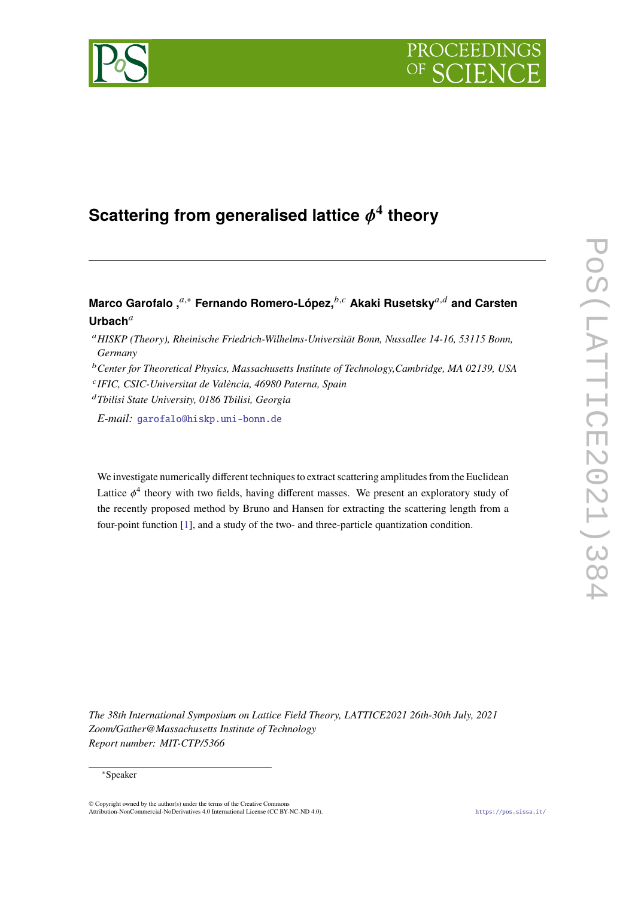



# Scattering from generalised lattice  $\phi^4$  theory

# **Marco Garofalo, <sup>***a***,∗</sup> Fernando Romero-López, <sup>***b,c***</sup> Akaki Rusetsky<sup>***a,d***</sup> and Carsten</sub> Urbach**

- *HISKP (Theory), Rheinische Friedrich-Wilhelms-Universität Bonn, Nussallee 14-16, 53115 Bonn, Germany*
- *Center for Theoretical Physics, Massachusetts Institute of Technology,Cambridge, MA 02139, USA*
- *IFIC, CSIC-Universitat de València, 46980 Paterna, Spain*
- *Tbilisi State University, 0186 Tbilisi, Georgia*

*E-mail:* [garofalo@hiskp.uni-bonn.de](mailto:garofalo@hiskp.uni-bonn.de)

We investigate numerically different techniques to extract scattering amplitudes from the Euclidean Lattice  $\phi^4$  theory with two fields, having different masses. We present an exploratory study of the recently proposed method by Bruno and Hansen for extracting the scattering length from a four-point function [\[1\]](#page-7-0), and a study of the two- and three-particle quantization condition.

*The 38th International Symposium on Lattice Field Theory, LATTICE2021 26th-30th July, 2021 Zoom/Gather@Massachusetts Institute of Technology Report number: MIT-CTP/5366*

<sup>∗</sup>Speaker

 $\odot$  Copyright owned by the author(s) under the terms of the Creative Common Attribution-NonCommercial-NoDerivatives 4.0 International License (CC BY-NC-ND 4.0). <https://pos.sissa.it/>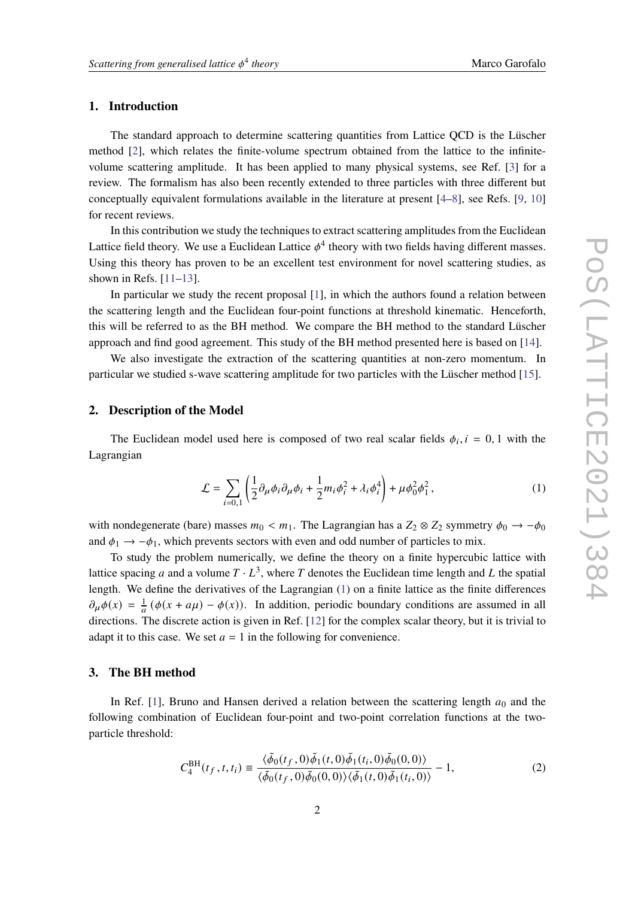# **1. Introduction**

The standard approach to determine scattering quantities from Lattice QCD is the Lüscher method [\[2\]](#page-7-1), which relates the finite-volume spectrum obtained from the lattice to the infinitevolume scattering amplitude. It has been applied to many physical systems, see Ref. [\[3\]](#page-7-2) for a review. The formalism has also been recently extended to three particles with three different but conceptually equivalent formulations available in the literature at present [\[4](#page-7-3)[–8\]](#page-7-4), see Refs. [\[9,](#page-7-5) [10\]](#page-7-6) for recent reviews.

In this contribution we study the techniques to extract scattering amplitudes from the Euclidean Lattice field theory. We use a Euclidean Lattice  $\phi^4$  theory with two fields having different masses. Using this theory has proven to be an excellent test environment for novel scattering studies, as shown in Refs.  $[11-13]$  $[11-13]$ .

In particular we study the recent proposal [\[1\]](#page-7-0), in which the authors found a relation between the scattering length and the Euclidean four-point functions at threshold kinematic. Henceforth, this will be referred to as the BH method. We compare the BH method to the standard Lüscher approach and find good agreement. This study of the BH method presented here is based on [\[14\]](#page-7-9).

We also investigate the extraction of the scattering quantities at non-zero momentum. In particular we studied s-wave scattering amplitude for two particles with the Lüscher method [\[15\]](#page-7-10).

#### **2. Description of the Model**

The Euclidean model used here is composed of two real scalar fields  $\phi_i$ ,  $i = 0, 1$  with the Lagrangian

<span id="page-1-0"></span>
$$
\mathcal{L} = \sum_{i=0,1} \left( \frac{1}{2} \partial_{\mu} \phi_i \partial_{\mu} \phi_i + \frac{1}{2} m_i \phi_i^2 + \lambda_i \phi_i^4 \right) + \mu \phi_0^2 \phi_1^2, \qquad (1)
$$

with nondegenerate (bare) masses  $m_0 < m_1$ . The Lagrangian has a  $Z_2 \otimes Z_2$  symmetry  $\phi_0 \rightarrow -\phi_0$ and  $\phi_1 \rightarrow -\phi_1$ , which prevents sectors with even and odd number of particles to mix.

To study the problem numerically, we define the theory on a finite hypercubic lattice with lattice spacing a and a volume  $T \cdot L^3$ , where T denotes the Euclidean time length and L the spatial length. We define the derivatives of the Lagrangian [\(1\)](#page-1-0) on a finite lattice as the finite differences  $\partial_{\mu}\phi(x) = \frac{1}{a}(\phi(x + a\mu) - \phi(x))$ . In addition, periodic boundary conditions are assumed in all directions. The discrete action is given in Ref. [\[12\]](#page-7-11) for the complex scalar theory, but it is trivial to adapt it to this case. We set  $a = 1$  in the following for convenience.

# **3. The BH method**

In Ref. [\[1\]](#page-7-0), Bruno and Hansen derived a relation between the scattering length  $a_0$  and the following combination of Euclidean four-point and two-point correlation functions at the twoparticle threshold:

$$
C_4^{\text{BH}}(t_f, t, t_i) \equiv \frac{\langle \tilde{\phi}_0(t_f, 0) \tilde{\phi}_1(t, 0) \tilde{\phi}_1(t_i, 0) \tilde{\phi}_0(0, 0) \rangle}{\langle \tilde{\phi}_0(t_f, 0) \tilde{\phi}_0(0, 0) \rangle \langle \tilde{\phi}_1(t, 0) \tilde{\phi}_1(t_i, 0) \rangle} - 1,
$$
\n(2)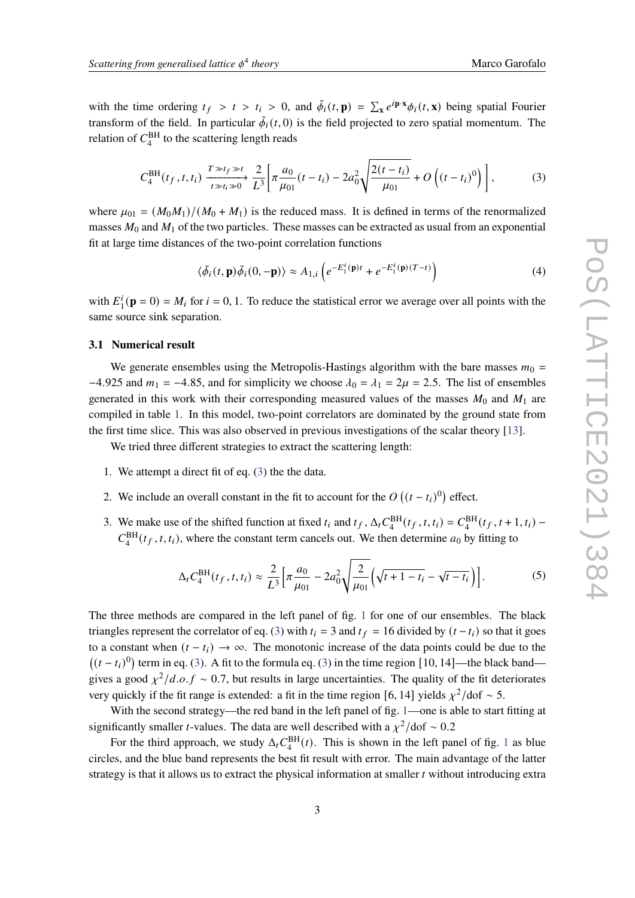with the time ordering  $t_f > t > t_i > 0$ , and  $\tilde{\phi}_i(t, \mathbf{p}) = \sum_{\mathbf{x}} e^{i \mathbf{p} \cdot \mathbf{x}} \phi_i(t, \mathbf{x})$  being spatial Fourier transform of the field. In particular  $\tilde{\phi}_i(t,0)$  is the field projected to zero spatial momentum. The relation of  $C_4^{\text{BH}}$  to the scattering length reads

$$
C_4^{\text{BH}}(t_f, t, t_i) \xrightarrow[t \gg t_i \gg 0]{T \gg t_f \gg t_i} \frac{2}{L^3} \left[ \pi \frac{a_0}{\mu_{01}}(t - t_i) - 2a_0^2 \sqrt{\frac{2(t - t_i)}{\mu_{01}}} + O\left((t - t_i)^0\right) \right],\tag{3}
$$

where  $\mu_{01} = (M_0 M_1)/(M_0 + M_1)$  is the reduced mass. It is defined in terms of the renormalized masses  $M_0$  and  $M_1$  of the two particles. These masses can be extracted as usual from an exponential fit at large time distances of the two-point correlation functions

<span id="page-2-2"></span><span id="page-2-0"></span>
$$
\langle \tilde{\phi}_i(t, \mathbf{p}) \tilde{\phi}_i(0, -\mathbf{p}) \rangle \approx A_{1,i} \left( e^{-E_1^i(\mathbf{p})t} + e^{-E_1^i(\mathbf{p})(T-t)} \right)
$$
(4)

with  $E_1^i$  $i_1^i(\mathbf{p} = 0) = M_i$  for  $i = 0, 1$ . To reduce the statistical error we average over all points with the same source sink separation.

#### **3.1 Numerical result**

We generate ensembles using the Metropolis-Hastings algorithm with the bare masses  $m_0 =$ −4.925 and  $m_1 = -4.85$ , and for simplicity we choose  $\lambda_0 = \lambda_1 = 2\mu = 2.5$ . The list of ensembles generated in this work with their corresponding measured values of the masses  $M_0$  and  $M_1$  are compiled in table [1.](#page-5-0) In this model, two-point correlators are dominated by the ground state from the first time slice. This was also observed in previous investigations of the scalar theory [\[13\]](#page-7-8).

We tried three different strategies to extract the scattering length:

- 1. We attempt a direct fit of eq. [\(3\)](#page-2-0) the the data.
- 2. We include an overall constant in the fit to account for the  $O((t-t_i)^0)$  effect.
- <span id="page-2-1"></span>3. We make use of the shifted function at fixed  $t_i$  and  $t_f$ ,  $\Delta_t C_4^{\text{BH}}(t_f, t, t_i) = C_4^{\text{BH}}(t_f, t + 1, t_i)$  $C_4^{\text{BH}}(t_f, t, t_i)$ , where the constant term cancels out. We then determine  $a_0$  by fitting to

$$
\Delta_t C_4^{\text{BH}}(t_f, t, t_i) \approx \frac{2}{L^3} \Big[ \pi \frac{a_0}{\mu_{01}} - 2a_0^2 \sqrt{\frac{2}{\mu_{01}}} \Big( \sqrt{t + 1 - t_i} - \sqrt{t - t_i} \Big) \Big]. \tag{5}
$$

The three methods are compared in the left panel of fig. [1](#page-3-0) for one of our ensembles. The black triangles represent the correlator of eq. [\(3\)](#page-2-0) with  $t_i = 3$  and  $t_f = 16$  divided by  $(t - t_i)$  so that it goes to a constant when  $(t - t_i) \rightarrow \infty$ . The monotonic increase of the data points could be due to the  $((t - t_i)^0)$  term in eq. [\(3\)](#page-2-0). A fit to the formula eq. (3) in the time region [10, 14]—the black band gives a good  $\chi^2/d.o.f \sim 0.7$ , but results in large uncertainties. The quality of the fit deteriorates very quickly if the fit range is extended: a fit in the time region [6, 14] yields  $\chi^2$ /dof ~ 5.

With the second strategy—the red band in the left panel of fig. [1—](#page-3-0)one is able to start fitting at significantly smaller *t*-values. The data are well described with a  $\chi^2$ /dof ~ 0.2

For the third approach, we study  $\Delta_t C_4^{\text{BH}}(t)$ . This is shown in the left panel of fig. [1](#page-3-0) as blue circles, and the blue band represents the best fit result with error. The main advantage of the latter strategy is that it allows us to extract the physical information at smaller  $t$  without introducing extra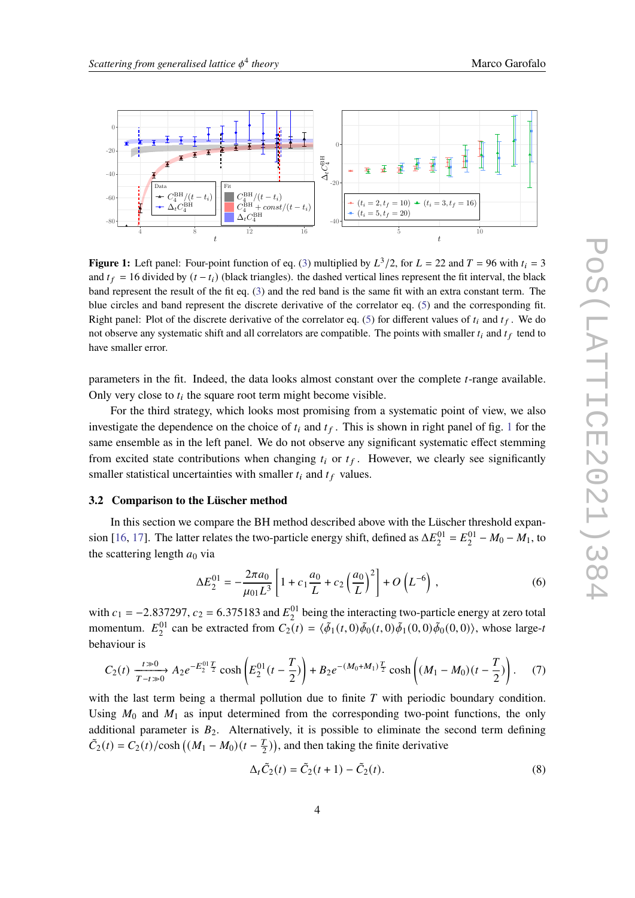<span id="page-3-0"></span>

**Figure 1:** Left panel: Four-point function of eq. [\(3\)](#page-2-0) multiplied by  $L^3/2$ , for  $L = 22$  and  $T = 96$  with  $t_i = 3$ and  $t_f = 16$  divided by  $(t - t_i)$  (black triangles). the dashed vertical lines represent the fit interval, the black band represent the result of the fit eq. [\(3\)](#page-2-0) and the red band is the same fit with an extra constant term. The blue circles and band represent the discrete derivative of the correlator eq. [\(5\)](#page-2-1) and the corresponding fit. Right panel: Plot of the discrete derivative of the correlator eq. [\(5\)](#page-2-1) for different values of  $t_i$  and  $t_f$ . We do not observe any systematic shift and all correlators are compatible. The points with smaller  $t_i$  and  $t_f$  tend to have smaller error.

parameters in the fit. Indeed, the data looks almost constant over the complete *t*-range available. Only very close to  $t_i$  the square root term might become visible.

For the third strategy, which looks most promising from a systematic point of view, we also investigate the dependence on the choice of  $t_i$  and  $t_f$ . This is shown in right panel of fig. [1](#page-3-0) for the same ensemble as in the left panel. We do not observe any significant systematic effect stemming from excited state contributions when changing  $t_i$  or  $t_f$ . However, we clearly see significantly smaller statistical uncertainties with smaller  $t_i$  and  $t_f$  values.

#### **3.2 Comparison to the Lüscher method**

In this section we compare the BH method described above with the Lüscher threshold expan-sion [\[16,](#page-8-0) [17\]](#page-8-1). The latter relates the two-particle energy shift, defined as  $\Delta E_2^{01} = E_2^{01} - M_0 - M_1$ , to the scattering length  $a_0$  via

<span id="page-3-1"></span>
$$
\Delta E_2^{01} = -\frac{2\pi a_0}{\mu_{01} L^3} \left[ 1 + c_1 \frac{a_0}{L} + c_2 \left( \frac{a_0}{L} \right)^2 \right] + O\left(L^{-6}\right) ,\tag{6}
$$

with  $c_1 = -2.837297$ ,  $c_2 = 6.375183$  and  $E_2^{01}$  being the interacting two-particle energy at zero total momentum.  $E_2^{01}$  can be extracted from  $C_2(t) = \langle \tilde{\phi}_1(t, 0) \tilde{\phi}_0(t, 0) \tilde{\phi}_1(0, 0) \tilde{\phi}_0(0, 0) \rangle$ , whose large-t behaviour is

$$
C_2(t) \xrightarrow[T-t \gg 0]{t \gg 0} A_2 e^{-E_2^{01} \frac{T}{2}} \cosh\left(E_2^{01}(t-\frac{T}{2})\right) + B_2 e^{-(M_0+M_1)\frac{T}{2}} \cosh\left((M_1-M_0)(t-\frac{T}{2})\right). \tag{7}
$$

with the last term being a thermal pollution due to finite  $T$  with periodic boundary condition. Using  $M_0$  and  $M_1$  as input determined from the corresponding two-point functions, the only additional parameter is  $B_2$ . Alternatively, it is possible to eliminate the second term defining  $\tilde{C}_2(t) = C_2(t)/\cosh((M_1 - M_0)(t - \frac{T_0}{2}))$  $(\frac{T}{2})$ , and then taking the finite derivative

<span id="page-3-3"></span><span id="page-3-2"></span>
$$
\Delta_t \tilde{C}_2(t) = \tilde{C}_2(t+1) - \tilde{C}_2(t).
$$
\n(8)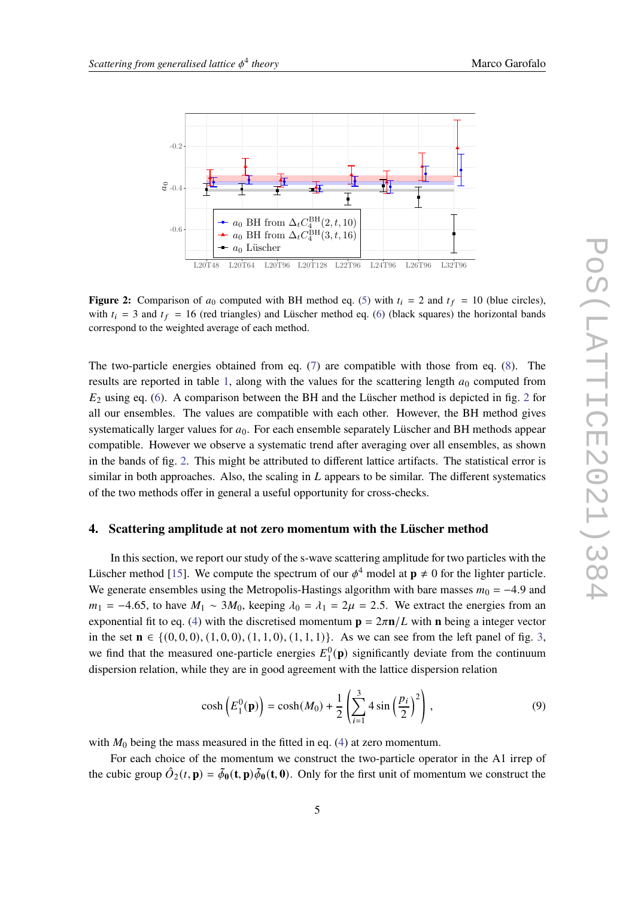<span id="page-4-0"></span>

**Figure 2:** Comparison of  $a_0$  computed with BH method eq. [\(5\)](#page-2-1) with  $t_i = 2$  and  $t_f = 10$  (blue circles), with  $t_i = 3$  and  $t_f = 16$  (red triangles) and Lüscher method eq. [\(6\)](#page-3-1) (black squares) the horizontal bands correspond to the weighted average of each method.

The two-particle energies obtained from eq. [\(7\)](#page-3-2) are compatible with those from eq. [\(8\)](#page-3-3). The results are reported in table [1,](#page-5-0) along with the values for the scattering length  $a_0$  computed from  $E_2$  $E_2$  using eq. [\(6\)](#page-3-1). A comparison between the BH and the Lüscher method is depicted in fig. 2 for all our ensembles. The values are compatible with each other. However, the BH method gives systematically larger values for  $a_0$ . For each ensemble separately Lüscher and BH methods appear compatible. However we observe a systematic trend after averaging over all ensembles, as shown in the bands of fig. [2.](#page-4-0) This might be attributed to different lattice artifacts. The statistical error is similar in both approaches. Also, the scaling in  $L$  appears to be similar. The different systematics of the two methods offer in general a useful opportunity for cross-checks.

#### **4. Scattering amplitude at not zero momentum with the Lüscher method**

In this section, we report our study of the s-wave scattering amplitude for two particles with the Lüscher method [\[15\]](#page-7-10). We compute the spectrum of our  $\phi^4$  model at  $p \neq 0$  for the lighter particle. We generate ensembles using the Metropolis-Hastings algorithm with bare masses  $m_0 = -4.9$  and  $m_1 = -4.65$ , to have  $M_1 \sim 3M_0$ , keeping  $\lambda_0 = \lambda_1 = 2\mu = 2.5$ . We extract the energies from an exponential fit to eq. [\(4\)](#page-2-2) with the discretised momentum  $\mathbf{p} = 2\pi \mathbf{n}/L$  with **n** being a integer vector in the set  $\mathbf{n} \in \{(0, 0, 0), (1, 0, 0), (1, 1, 0), (1, 1, 1)\}$ . As we can see from the left panel of fig. [3,](#page-6-0) we find that the measured one-particle energies  $E_1^0(\mathbf{p})$  significantly deviate from the continuum dispersion relation, while they are in good agreement with the lattice dispersion relation

<span id="page-4-1"></span>
$$
\cosh\left(E_1^0(\mathbf{p})\right) = \cosh(M_0) + \frac{1}{2}\left(\sum_{i=1}^3 4\sin\left(\frac{p_i}{2}\right)^2\right),\tag{9}
$$

with  $M_0$  being the mass measured in the fitted in eq. [\(4\)](#page-2-2) at zero momentum.

For each choice of the momentum we construct the two-particle operator in the A1 irrep of the cubic group  $\hat{O}_2(t, \mathbf{p}) = \tilde{\phi}_0(\mathbf{t}, \mathbf{p})\tilde{\phi}_0(\mathbf{t}, \mathbf{0})$ . Only for the first unit of momentum we construct the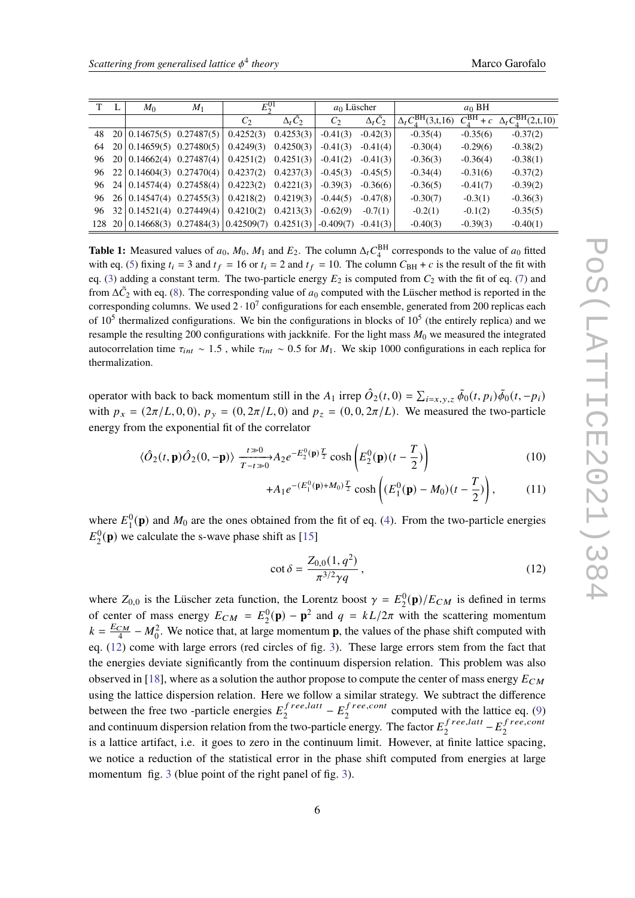<span id="page-5-0"></span>

| T  | $M_0$                      | $M_1$                                                 | $E_2^{01}$     |                | $a_0$ Lüscher  |                        | $a_0$ BH                               |                       |                                             |
|----|----------------------------|-------------------------------------------------------|----------------|----------------|----------------|------------------------|----------------------------------------|-----------------------|---------------------------------------------|
|    |                            |                                                       | C <sub>2</sub> | $\Delta_t C_2$ | C <sub>2</sub> | $\Delta_t \tilde{C}_2$ | $\Delta_t C_{4}^{\text{BH}}(3,\xi,16)$ | $C_4^{\text{BH}} + c$ | $\Delta_t C_A^{\text{BH}}(2,\mathsf{t},10)$ |
| 48 | 20   0.14675(5) 0.27487(5) |                                                       | 0.4252(3)      | 0.4253(3)      | $-0.41(3)$     | $-0.42(3)$             | $-0.35(4)$                             | $-0.35(6)$            | $-0.37(2)$                                  |
| 64 | 20   0.14659(5) 0.27480(5) |                                                       | 0.4249(3)      | 0.4250(3)      | $-0.41(3)$     | $-0.41(4)$             | $-0.30(4)$                             | $-0.29(6)$            | $-0.38(2)$                                  |
| 96 | 20   0.14662(4) 0.27487(4) |                                                       | 0.4251(2)      | 0.4251(3)      | $-0.41(2)$     | $-0.41(3)$             | $-0.36(3)$                             | $-0.36(4)$            | $-0.38(1)$                                  |
| 96 | 22   0.14604(3) 0.27470(4) |                                                       | 0.4237(2)      | 0.4237(3)      | $-0.45(3)$     | $-0.45(5)$             | $-0.34(4)$                             | $-0.31(6)$            | $-0.37(2)$                                  |
| 96 | 24   0.14574(4) 0.27458(4) |                                                       | 0.4223(2)      | 0.4221(3)      | $-0.39(3)$     | $-0.36(6)$             | $-0.36(5)$                             | $-0.41(7)$            | $-0.39(2)$                                  |
| 96 |                            | $26 0.14547(4)$ 0.27455(3)                            | 0.4218(2)      | 0.4219(3)      | $-0.44(5)$     | $-0.47(8)$             | $-0.30(7)$                             | $-0.3(1)$             | $-0.36(3)$                                  |
| 96 | 32   0.14521(4) 0.27449(4) |                                                       | 0.4210(2)      | 0.4213(3)      | $-0.62(9)$     | $-0.7(1)$              | $-0.2(1)$                              | $-0.1(2)$             | $-0.35(5)$                                  |
|    |                            | 128 20 $\mid$ 0.14668(3) 0.27484(3) $\mid$ 0.42509(7) |                | 0.4251(3)      | $-0.409(7)$    | $-0.41(3)$             | $-0.40(3)$                             | $-0.39(3)$            | $-0.40(1)$                                  |

**Table 1:** Measured values of  $a_0$ ,  $M_0$ ,  $M_1$  and  $E_2$ . The column  $\Delta_t C_4^{\text{BH}}$  corresponds to the value of  $a_0$  fitted with eq. [\(5\)](#page-2-1) fixing  $t_i = 3$  and  $t_f = 16$  or  $t_i = 2$  and  $t_f = 10$ . The column  $C_{\text{BH}} + c$  is the result of the fit with eq. [\(3\)](#page-2-0) adding a constant term. The two-particle energy  $E_2$  is computed from  $C_2$  with the fit of eq. [\(7\)](#page-3-2) and from  $\Delta \tilde{C}_2$  with eq. [\(8\)](#page-3-3). The corresponding value of  $a_0$  computed with the Lüscher method is reported in the corresponding columns. We used  $2 \cdot 10^7$  configurations for each ensemble, generated from 200 replicas each of  $10<sup>5</sup>$  thermalized configurations. We bin the configurations in blocks of  $10<sup>5</sup>$  (the entirely replica) and we resample the resulting 200 configurations with jackknife. For the light mass  $M_0$  we measured the integrated autocorrelation time  $\tau_{int} \sim 1.5$ , while  $\tau_{int} \sim 0.5$  for  $M_1$ . We skip 1000 configurations in each replica for thermalization.

operator with back to back momentum still in the  $A_1$  irrep  $\hat{O}_2(t,0) = \sum_{i=x,y,z} \tilde{\phi}_0(t,p_i) \tilde{\phi}_0(t,-p_i)$ with  $p_x = (2\pi/L, 0, 0), p_y = (0, 2\pi/L, 0)$  and  $p_z = (0, 0, 2\pi/L)$ . We measured the two-particle energy from the exponential fit of the correlator

$$
\langle \hat{O}_2(t, \mathbf{p}) \hat{O}_2(0, -\mathbf{p}) \rangle \xrightarrow[T-t \gg 0]{t \gg 0} A_2 e^{-E_2^0(\mathbf{p}) \frac{T}{2}} \cosh\left(E_2^0(\mathbf{p})(t - \frac{T}{2})\right)
$$
(10)

$$
+A_1 e^{-(E_1^0(\mathbf{p})+M_0)\frac{T}{2}} \cosh\left((E_1^0(\mathbf{p})-M_0)(t-\frac{T}{2})\right),\tag{11}
$$

where  $E_1^0(\mathbf{p})$  and  $M_0$  are the ones obtained from the fit of eq. [\(4\)](#page-2-2). From the two-particle energies  $E_2^0(\mathbf{p})$  we calculate the s-wave phase shift as [\[15\]](#page-7-10)

<span id="page-5-1"></span>
$$
\cot \delta = \frac{Z_{0,0}(1, q^2)}{\pi^{3/2} \gamma q},
$$
\n(12)

where  $Z_{0,0}$  is the Lüscher zeta function, the Lorentz boost  $\gamma = E_2^0(\mathbf{p})/E_{CM}$  is defined in terms of center of mass energy  $E_{CM} = E_2^0(\mathbf{p}) - \mathbf{p}^2$  and  $q = kL/2\pi$  with the scattering momentum  $k=\frac{E_{CM}}{4}$  $\frac{CM}{4} - M_0^2$ . We notice that, at large momentum **p**, the values of the phase shift computed with eq. [\(12\)](#page-5-1) come with large errors (red circles of fig. [3\)](#page-6-0). These large errors stem from the fact that the energies deviate significantly from the continuum dispersion relation. This problem was also observed in [\[18\]](#page-8-2), where as a solution the author propose to compute the center of mass energy  $E_{CM}$ using the lattice dispersion relation. Here we follow a similar strategy. We subtract the difference between the free two -particle energies  $E_2^{free, latt}$  $\frac{free, latt}{2} - E_2^{free,cont}$  $2^{Tree, con}$  computed with the lattice eq. [\(9\)](#page-4-1) and continuum dispersion relation from the two-particle energy. The factor  $E_2^{free, latt}$  $\frac{e^{ft} \cdot e^{ft}}{2} - E_2^f \cdot \frac{e^{ft} \cdot e^{ft}}{2}$ 2 is a lattice artifact, i.e. it goes to zero in the continuum limit. However, at finite lattice spacing, we notice a reduction of the statistical error in the phase shift computed from energies at large momentum fig. [3](#page-6-0) (blue point of the right panel of fig. [3\)](#page-6-0).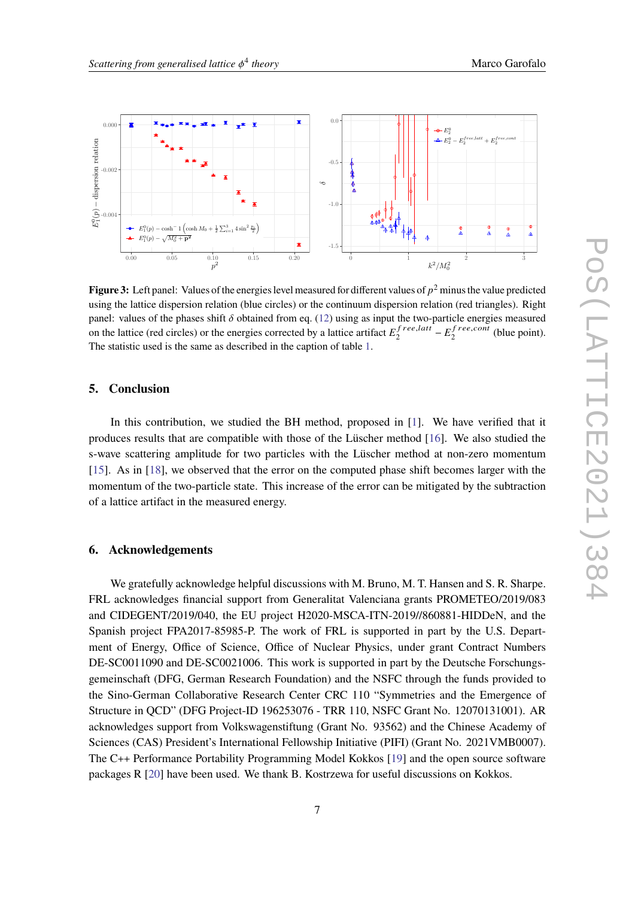<span id="page-6-0"></span>

**Figure 3:** Left panel: Values of the energies level measured for different values of  $p^2$  minus the value predicted using the lattice dispersion relation (blue circles) or the continuum dispersion relation (red triangles). Right panel: values of the phases shift  $\delta$  obtained from eq. [\(12\)](#page-5-1) using as input the two-particle energies measured on the lattice (red circles) or the energies corrected by a lattice artifact  $E_2^{free, latt}$  $\int_{2}^{free, latt} -E_{2}^{free, cont}$  $\frac{1}{2}$ <sup>ree,com</sup> (blue point). The statistic used is the same as described in the caption of table [1.](#page-5-0)

#### **5. Conclusion**

In this contribution, we studied the BH method, proposed in [\[1\]](#page-7-0). We have verified that it produces results that are compatible with those of the Lüscher method [\[16\]](#page-8-0). We also studied the s-wave scattering amplitude for two particles with the Lüscher method at non-zero momentum [\[15\]](#page-7-10). As in [\[18\]](#page-8-2), we observed that the error on the computed phase shift becomes larger with the momentum of the two-particle state. This increase of the error can be mitigated by the subtraction of a lattice artifact in the measured energy.

### **6. Acknowledgements**

We gratefully acknowledge helpful discussions with M. Bruno, M. T. Hansen and S. R. Sharpe. FRL acknowledges financial support from Generalitat Valenciana grants PROMETEO/2019/083 and CIDEGENT/2019/040, the EU project H2020-MSCA-ITN-2019//860881-HIDDeN, and the Spanish project FPA2017-85985-P. The work of FRL is supported in part by the U.S. Department of Energy, Office of Science, Office of Nuclear Physics, under grant Contract Numbers DE-SC0011090 and DE-SC0021006. This work is supported in part by the Deutsche Forschungsgemeinschaft (DFG, German Research Foundation) and the NSFC through the funds provided to the Sino-German Collaborative Research Center CRC 110 "Symmetries and the Emergence of Structure in QCD" (DFG Project-ID 196253076 - TRR 110, NSFC Grant No. 12070131001). AR acknowledges support from Volkswagenstiftung (Grant No. 93562) and the Chinese Academy of Sciences (CAS) President's International Fellowship Initiative (PIFI) (Grant No. 2021VMB0007). The C++ Performance Portability Programming Model Kokkos [\[19\]](#page-8-3) and the open source software packages R [\[20\]](#page-8-4) have been used. We thank B. Kostrzewa for useful discussions on Kokkos.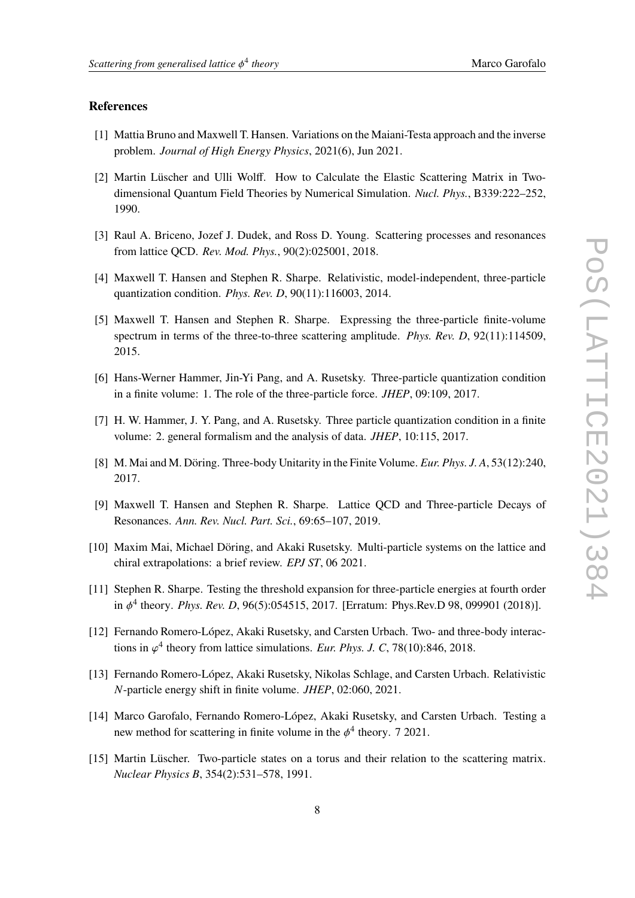## **References**

- <span id="page-7-0"></span>[1] Mattia Bruno and Maxwell T. Hansen. Variations on the Maiani-Testa approach and the inverse problem. *Journal of High Energy Physics*, 2021(6), Jun 2021.
- <span id="page-7-1"></span>[2] Martin Lüscher and Ulli Wolff. How to Calculate the Elastic Scattering Matrix in Twodimensional Quantum Field Theories by Numerical Simulation. *Nucl. Phys.*, B339:222–252, 1990.
- <span id="page-7-2"></span>[3] Raul A. Briceno, Jozef J. Dudek, and Ross D. Young. Scattering processes and resonances from lattice QCD. *Rev. Mod. Phys.*, 90(2):025001, 2018.
- <span id="page-7-3"></span>[4] Maxwell T. Hansen and Stephen R. Sharpe. Relativistic, model-independent, three-particle quantization condition. *Phys. Rev. D*, 90(11):116003, 2014.
- [5] Maxwell T. Hansen and Stephen R. Sharpe. Expressing the three-particle finite-volume spectrum in terms of the three-to-three scattering amplitude. *Phys. Rev. D*, 92(11):114509, 2015.
- [6] Hans-Werner Hammer, Jin-Yi Pang, and A. Rusetsky. Three-particle quantization condition in a finite volume: 1. The role of the three-particle force. *JHEP*, 09:109, 2017.
- [7] H. W. Hammer, J. Y. Pang, and A. Rusetsky. Three particle quantization condition in a finite volume: 2. general formalism and the analysis of data. *JHEP*, 10:115, 2017.
- <span id="page-7-4"></span>[8] M. Mai and M. Döring. Three-body Unitarity in the Finite Volume. *Eur. Phys. J. A*, 53(12):240, 2017.
- <span id="page-7-5"></span>[9] Maxwell T. Hansen and Stephen R. Sharpe. Lattice QCD and Three-particle Decays of Resonances. *Ann. Rev. Nucl. Part. Sci.*, 69:65–107, 2019.
- <span id="page-7-6"></span>[10] Maxim Mai, Michael Döring, and Akaki Rusetsky. Multi-particle systems on the lattice and chiral extrapolations: a brief review. *EPJ ST*, 06 2021.
- <span id="page-7-7"></span>[11] Stephen R. Sharpe. Testing the threshold expansion for three-particle energies at fourth order in 4 theory. *Phys. Rev. D*, 96(5):054515, 2017. [Erratum: Phys.Rev.D 98, 099901 (2018)].
- <span id="page-7-11"></span>[12] Fernando Romero-López, Akaki Rusetsky, and Carsten Urbach. Two- and three-body interactions in  $\varphi^4$  theory from lattice simulations. *Eur. Phys. J. C*, 78(10):846, 2018.
- <span id="page-7-8"></span>[13] Fernando Romero-López, Akaki Rusetsky, Nikolas Schlage, and Carsten Urbach. Relativistic -particle energy shift in finite volume. *JHEP*, 02:060, 2021.
- <span id="page-7-9"></span>[14] Marco Garofalo, Fernando Romero-López, Akaki Rusetsky, and Carsten Urbach. Testing a new method for scattering in finite volume in the  $\phi^4$  theory. 7 2021.
- <span id="page-7-10"></span>[15] Martin Lüscher. Two-particle states on a torus and their relation to the scattering matrix. *Nuclear Physics B*, 354(2):531–578, 1991.